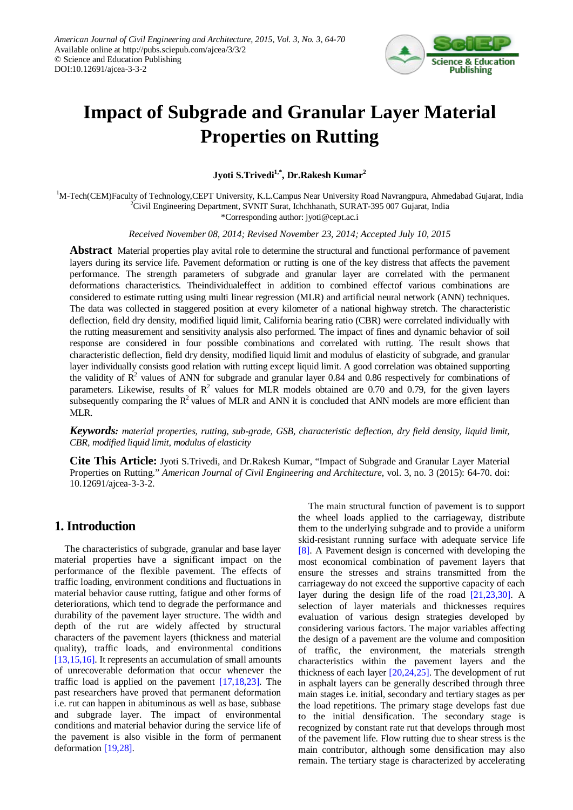

# **Impact of Subgrade and Granular Layer Material Properties on Rutting**

**Jyoti S.Trivedi1,\*, Dr.Rakesh Kumar2**

<sup>1</sup>M-Tech(CEM)Faculty of Technology,CEPT University, K.L.Campus Near University Road Navrangpura, Ahmedabad Gujarat, India <sup>2</sup>Civil Engineering Department, SVNIT Suret, Johnham SUP AT 305,007 Gujarat, India <sup>2</sup>Civil Engineering Department, SVNIT Surat, Ichchhanath, SURAT-395 007 Gujarat, India

\*Corresponding author: jyoti@cept.ac.i

*Received November 08, 2014; Revised November 23, 2014; Accepted July 10, 2015*

**Abstract** Material properties play avital role to determine the structural and functional performance of pavement layers during its service life. Pavement deformation or rutting is one of the key distress that affects the pavement performance. The strength parameters of subgrade and granular layer are correlated with the permanent deformations characteristics. Theindividualeffect in addition to combined effectof various combinations are considered to estimate rutting using multi linear regression (MLR) and artificial neural network (ANN) techniques. The data was collected in staggered position at every kilometer of a national highway stretch. The characteristic deflection, field dry density, modified liquid limit, California bearing ratio (CBR) were correlated individually with the rutting measurement and sensitivity analysis also performed. The impact of fines and dynamic behavior of soil response are considered in four possible combinations and correlated with rutting. The result shows that characteristic deflection, field dry density, modified liquid limit and modulus of elasticity of subgrade, and granular layer individually consists good relation with rutting except liquid limit. A good correlation was obtained supporting the validity of  $\mathbb{R}^2$  values of ANN for subgrade and granular layer 0.84 and 0.86 respectively for combinations of parameters. Likewise, results of  $R^2$  values for MLR models obtained are 0.70 and 0.79, for the given layers subsequently comparing the  $R^2$  values of MLR and ANN it is concluded that ANN models are more efficient than MLR.

*Keywords: material properties, rutting, sub-grade, GSB, characteristic deflection, dry field density, liquid limit, CBR, modified liquid limit, modulus of elasticity*

**Cite This Article:** Jyoti S.Trivedi, and Dr.Rakesh Kumar, "Impact of Subgrade and Granular Layer Material Properties on Rutting." *American Journal of Civil Engineering and Architecture*, vol. 3, no. 3 (2015): 64-70. doi: 10.12691/ajcea-3-3-2.

# **1. Introduction**

The characteristics of subgrade, granular and base layer material properties have a significant impact on the performance of the flexible pavement. The effects of traffic loading, environment conditions and fluctuations in material behavior cause rutting, fatigue and other forms of deteriorations, which tend to degrade the performance and durability of the pavement layer structure. The width and depth of the rut are widely affected by structural characters of the pavement layers (thickness and material quality), traffic loads, and environmental conditions [\[13,15,16\].](#page-6-0) It represents an accumulation of small amounts of unrecoverable deformation that occur whenever the traffic load is applied on the pavement [\[17,18,23\].](#page-6-1) The past researchers have proved that permanent deformation i.e. rut can happen in abituminous as well as base, subbase and subgrade layer. The impact of environmental conditions and material behavior during the service life of the pavement is also visible in the form of permanent deformation [\[19,28\].](#page-6-2)

The main structural function of pavement is to support the wheel loads applied to the carriageway, distribute them to the underlying subgrade and to provide a uniform skid-resistant running surface with adequate service life [\[8\].](#page-6-3) A Pavement design is concerned with developing the most economical combination of pavement layers that ensure the stresses and strains transmitted from the carriageway do not exceed the supportive capacity of each layer during the design life of the road [\[21,23,30\].](#page-6-4) A selection of layer materials and thicknesses requires evaluation of various design strategies developed by considering various factors. The major variables affecting the design of a pavement are the volume and composition of traffic, the environment, the materials strength characteristics within the pavement layers and the thickness of each layer [\[20,24,25\].](#page-6-5) The development of rut in asphalt layers can be generally described through three main stages i.e. initial, secondary and tertiary stages as per the load repetitions. The primary stage develops fast due to the initial densification. The secondary stage is recognized by constant rate rut that develops through most of the pavement life. Flow rutting due to shear stress is the main contributor, although some densification may also remain. The tertiary stage is characterized by accelerating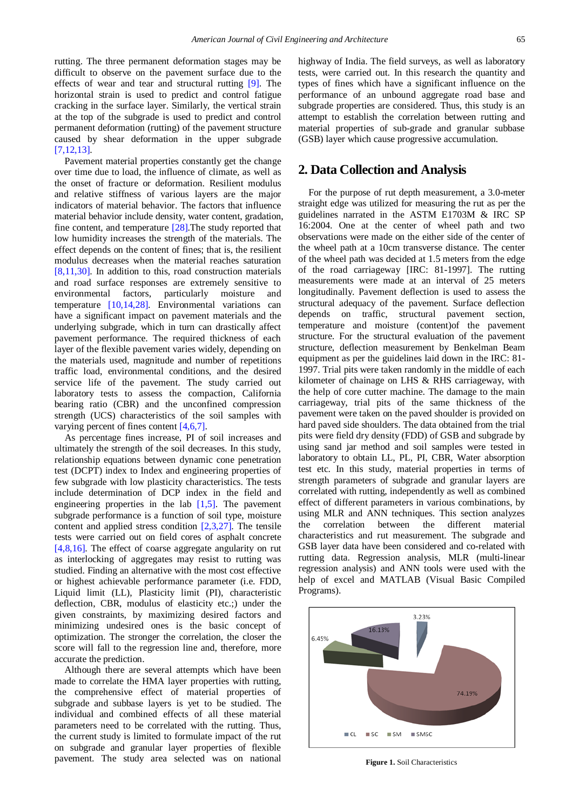rutting. The three permanent deformation stages may be difficult to observe on the pavement surface due to the effects of wear and tear and structural rutting [\[9\].](#page-6-6) The horizontal strain is used to predict and control fatigue cracking in the surface layer. Similarly, the vertical strain at the top of the subgrade is used to predict and control permanent deformation (rutting) of the pavement structure caused by shear deformation in the upper subgrade [\[7,12,13\].](#page-6-7)

Pavement material properties constantly get the change over time due to load, the influence of climate, as well as the onset of fracture or deformation. Resilient modulus and relative stiffness of various layers are the major indicators of material behavior. The factors that influence material behavior include density, water content, gradation, fine content, and temperature [\[28\].](#page-6-8)The study reported that low humidity increases the strength of the materials. The effect depends on the content of fines; that is, the resilient modulus decreases when the material reaches saturation [\[8,11,30\].](#page-6-3) In addition to this, road construction materials and road surface responses are extremely sensitive to environmental factors, particularly moisture and temperature [\[10,14,28\].](#page-6-9) Environmental variations can have a significant impact on pavement materials and the underlying subgrade, which in turn can drastically affect pavement performance. The required thickness of each layer of the flexible pavement varies widely, depending on the materials used, magnitude and number of repetitions traffic load, environmental conditions, and the desired service life of the pavement. The study carried out laboratory tests to assess the compaction, California bearing ratio (CBR) and the unconfined compression strength (UCS) characteristics of the soil samples with varying percent of fines content [\[4,6,7\].](#page-6-10)

As percentage fines increase, PI of soil increases and ultimately the strength of the soil decreases. In this study, relationship equations between dynamic cone penetration test (DCPT) index to Index and engineering properties of few subgrade with low plasticity characteristics. The tests include determination of DCP index in the field and engineering properties in the lab  $[1,5]$ . The pavement subgrade performance is a function of soil type, moisture content and applied stress condition [\[2,3,27\].](#page-6-12) The tensile tests were carried out on field cores of asphalt concrete [\[4,8,16\].](#page-6-10) The effect of coarse aggregate angularity on rut as interlocking of aggregates may resist to rutting was studied. Finding an alternative with the most cost effective or highest achievable performance parameter (i.e. FDD, Liquid limit (LL), Plasticity limit (PI), characteristic deflection, CBR, modulus of elasticity etc.;) under the given constraints, by maximizing desired factors and minimizing undesired ones is the basic concept of optimization. The stronger the correlation, the closer the score will fall to the regression line and, therefore, more accurate the prediction.

Although there are several attempts which have been made to correlate the HMA layer properties with rutting, the comprehensive effect of material properties of subgrade and subbase layers is yet to be studied. The individual and combined effects of all these material parameters need to be correlated with the rutting. Thus, the current study is limited to formulate impact of the rut on subgrade and granular layer properties of flexible pavement. The study area selected was on national

highway of India. The field surveys, as well as laboratory tests, were carried out. In this research the quantity and types of fines which have a significant influence on the performance of an unbound aggregate road base and subgrade properties are considered. Thus, this study is an attempt to establish the correlation between rutting and material properties of sub-grade and granular subbase (GSB) layer which cause progressive accumulation.

## **2. Data Collection and Analysis**

For the purpose of rut depth measurement, a 3.0-meter straight edge was utilized for measuring the rut as per the guidelines narrated in the ASTM E1703M & IRC SP 16:2004. One at the center of wheel path and two observations were made on the either side of the center of the wheel path at a 10cm transverse distance. The center of the wheel path was decided at 1.5 meters from the edge of the road carriageway [IRC: 81-1997]. The rutting measurements were made at an interval of 25 meters longitudinally. Pavement deflection is used to assess the structural adequacy of the pavement. Surface deflection depends on traffic, structural pavement section, temperature and moisture (content)of the pavement structure. For the structural evaluation of the pavement structure, deflection measurement by Benkelman Beam equipment as per the guidelines laid down in the IRC: 81- 1997. Trial pits were taken randomly in the middle of each kilometer of chainage on LHS & RHS carriageway, with the help of core cutter machine. The damage to the main carriageway, trial pits of the same thickness of the pavement were taken on the paved shoulder is provided on hard paved side shoulders. The data obtained from the trial pits were field dry density (FDD) of GSB and subgrade by using sand jar method and soil samples were tested in laboratory to obtain LL, PL, PI, CBR, Water absorption test etc. In this study, material properties in terms of strength parameters of subgrade and granular layers are correlated with rutting, independently as well as combined effect of different parameters in various combinations, by using MLR and ANN techniques. This section analyzes the correlation between the different material characteristics and rut measurement. The subgrade and GSB layer data have been considered and co-related with rutting data. Regression analysis, MLR (multi-linear regression analysis) and ANN tools were used with the help of excel and MATLAB (Visual Basic Compiled Programs).

<span id="page-1-0"></span>

**Figure 1.** Soil Characteristics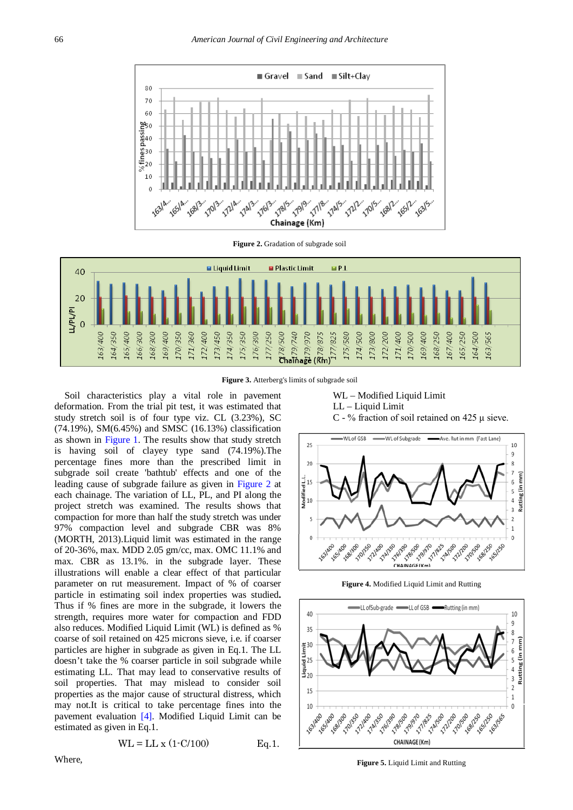<span id="page-2-0"></span>

**Figure 2.** Gradation of subgrade soil



**Figure 3.** Atterberg's limits of subgrade soil

Soil characteristics play a vital role in pavement deformation. From the trial pit test, it was estimated that study stretch soil is of four type viz. CL (3.23%), SC (74.19%), SM(6.45%) and SMSC (16.13%) classification as shown in [Figure 1.](#page-1-0) The results show that study stretch is having soil of clayey type sand (74.19%).The percentage fines more than the prescribed limit in subgrade soil create 'bathtub' effects and one of the leading cause of subgrade failure as given in [Figure 2](#page-2-0) at each chainage. The variation of LL, PL, and PI along the project stretch was examined. The results shows that compaction for more than half the study stretch was under 97% compaction level and subgrade CBR was 8% (MORTH, 2013).Liquid limit was estimated in the range of 20-36%, max. MDD 2.05 gm/cc, max. OMC 11.1% and max. CBR as 13.1%. in the subgrade layer. These illustrations will enable a clear effect of that particular parameter on rut measurement. Impact of % of coarser particle in estimating soil index properties was studied**.**  Thus if % fines are more in the subgrade, it lowers the strength, requires more water for compaction and FDD also reduces. Modified Liquid Limit (WL) is defined as % coarse of soil retained on 425 microns sieve, i.e. if coarser particles are higher in subgrade as given in Eq.1. The LL doesn't take the % coarser particle in soil subgrade while estimating LL. That may lead to conservative results of soil properties. That may mislead to consider soil properties as the major cause of structural distress, which may not.It is critical to take percentage fines into the pavement evaluation [\[4\].](#page-6-10) Modified Liquid Limit can be estimated as given in Eq.1.

$$
WL = LL x (1-C/100)
$$
 Eq.1.

Where,

WL – Modified Liquid Limit LL – Liquid Limit C - % fraction of soil retained on 425 μ sieve.

<span id="page-2-1"></span>

**Figure 4.** Modified Liquid Limit and Rutting

<span id="page-2-2"></span>

**Figure 5.** Liquid Limit and Rutting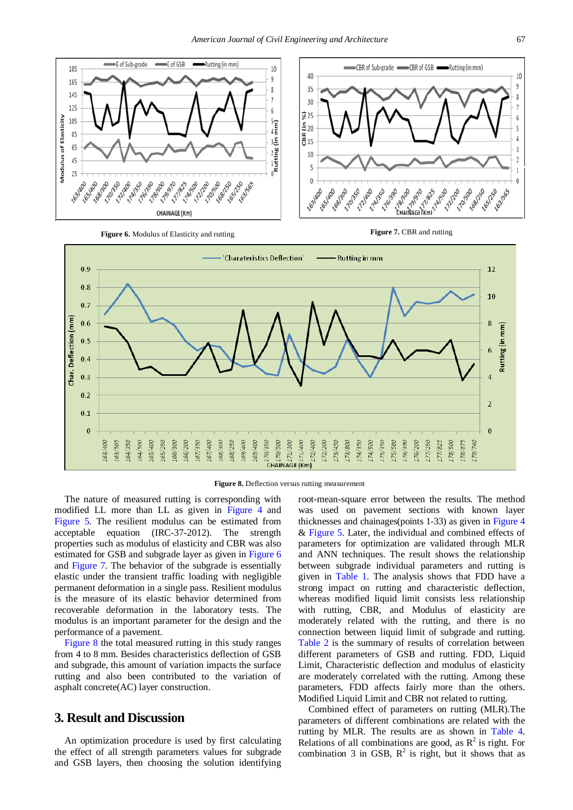<span id="page-3-0"></span>

**Figure 6.** Modulus of Elasticity and rutting **Figure 7. CBR** and rutting

<span id="page-3-1"></span>

<span id="page-3-2"></span>

**Figure 8.** Deflection versus rutting measurement

The nature of measured rutting is corresponding with modified LL more than LL as given in [Figure 4](#page-2-1) and [Figure 5.](#page-2-2) The resilient modulus can be estimated from acceptable equation (IRC-37-2012). The strength properties such as modulus of elasticity and CBR was also estimated for GSB and subgrade layer as given in [Figure 6](#page-3-0) and [Figure 7.](#page-3-1) The behavior of the subgrade is essentially elastic under the transient traffic loading with negligible permanent deformation in a single pass. Resilient modulus is the measure of its elastic behavior determined from recoverable deformation in the laboratory tests. The modulus is an important parameter for the design and the performance of a pavement.

[Figure 8](#page-3-2) the total measured rutting in this study ranges from 4 to 8 mm. Besides characteristics deflection of GSB and subgrade, this amount of variation impacts the surface rutting and also been contributed to the variation of asphalt concrete(AC) layer construction.

# **3. Result and Discussion**

An optimization procedure is used by first calculating the effect of all strength parameters values for subgrade and GSB layers, then choosing the solution identifying

root-mean-square error between the results. The method was used on pavement sections with known layer thicknesses and chainages(points 1-33) as given in [Figure 4](#page-2-1) & [Figure 5.](#page-2-2) Later, the individual and combined effects of parameters for optimization are validated through MLR and ANN techniques. The result shows the relationship between subgrade individual parameters and rutting is given in [Table 1.](#page-4-0) The analysis shows that FDD have a strong impact on rutting and characteristic deflection, whereas modified liquid limit consists less relationship with rutting, CBR, and Modulus of elasticity are moderately related with the rutting, and there is no connection between liquid limit of subgrade and rutting. [Table 2](#page-4-1) is the summary of results of correlation between different parameters of GSB and rutting. FDD, Liquid Limit, Characteristic deflection and modulus of elasticity are moderately correlated with the rutting. Among these parameters, FDD affects fairly more than the others. Modified Liquid Limit and CBR not related to rutting.

Combined effect of parameters on rutting (MLR).The parameters of different combinations are related with the rutting by MLR. The results are as shown in [Table 4.](#page-4-2) Relations of all combinations are good, as  $R^2$  is right. For combination 3 in GSB,  $R^2$  is right, but it shows that as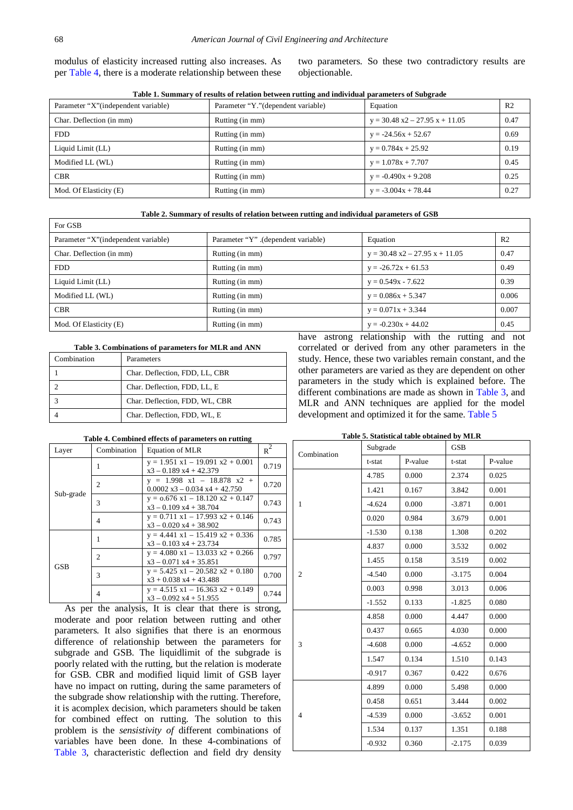modulus of elasticity increased rutting also increases. As per [Table 4,](#page-4-2) there is a moderate relationship between these two parameters. So these two contradictory results are objectionable.

|  |  | Table 1. Summary of results of relation between rutting and individual parameters of Subgrade |
|--|--|-----------------------------------------------------------------------------------------------|
|--|--|-----------------------------------------------------------------------------------------------|

<span id="page-4-0"></span>

| Parameter "X" (independent variable) | Parameter "Y." (dependent variable) | Equation                         | R <sub>2</sub> |
|--------------------------------------|-------------------------------------|----------------------------------|----------------|
| Char. Deflection (in mm)             | Rutting (in mm)                     | $y = 30.48$ x2 - 27.95 x + 11.05 | 0.47           |
| FDD.                                 | Rutting (in mm)                     | $y = -24.56x + 52.67$            | 0.69           |
| Liquid Limit (LL)                    | Rutting (in mm)                     | $y = 0.784x + 25.92$             | 0.19           |
| Modified LL (WL)                     | Rutting (in mm)                     | $y = 1.078x + 7.707$             | 0.45           |
| <b>CBR</b>                           | Rutting (in mm)                     | $y = -0.490x + 9.208$            | 0.25           |
| Mod. Of Elasticity (E)               | Rutting (in mm)                     | $y = -3.004x + 78.44$            | 0.27           |

**Table 2. Summary of results of relation between rutting and individual parameters of GSB**

<span id="page-4-1"></span>

| For GSB                              |                                    |                                  |                |  |
|--------------------------------------|------------------------------------|----------------------------------|----------------|--|
| Parameter "X" (independent variable) | Parameter "Y" (dependent variable) | Equation                         | R <sub>2</sub> |  |
| Char. Deflection (in mm)             | Rutting (in mm)                    | $y = 30.48$ x2 – 27.95 x + 11.05 | 0.47           |  |
| FDD.                                 | Rutting (in mm)                    | $y = -26.72x + 61.53$            | 0.49           |  |
| Liquid Limit (LL)                    | Rutting (in mm)                    | $y = 0.549x - 7.622$             | 0.39           |  |
| Modified LL (WL)                     | Rutting (in mm)                    | $y = 0.086x + 5.347$             | 0.006          |  |
| <b>CBR</b>                           | Rutting (in mm)                    | $y = 0.071x + 3.344$             | 0.007          |  |
| Mod. Of Elasticity (E)               | Rutting (in mm)                    | $y = -0.230x + 44.02$            | 0.45           |  |

#### **Table 3. Combinations of parameters for MLR and ANN**

<span id="page-4-3"></span>

| Combination | Parameters                     |
|-------------|--------------------------------|
|             | Char. Deflection, FDD, LL, CBR |
|             | Char. Deflection, FDD, LL, E   |
|             | Char. Deflection, FDD, WL, CBR |
|             | Char. Deflection, FDD, WL, E   |

### have astrong relationship with the rutting and not correlated or derived from any other parameters in the study. Hence, these two variables remain constant, and the other parameters are varied as they are dependent on other parameters in the study which is explained before. The different combinations are made as shown in [Table 3,](#page-4-3) and MLR and ANN techniques are applied for the model development and optimized it for the same. [Table 5](#page-4-4)

# **Table 4. Combined effects of parameters on rutting**

<span id="page-4-2"></span>

| Layer      | Combination    | Equation of MLR                                                     | $R^2$ |
|------------|----------------|---------------------------------------------------------------------|-------|
| Sub-grade  |                | $y = 1.951$ $x1 - 19.091$ $x2 + 0.001$<br>$x3 - 0.189 x4 + 42.379$  | 0.719 |
|            | 2              | $y = 1.998$ $x1 - 18.878$ $x2 +$<br>$0.0002$ x3 - 0.034 x4 + 42.750 | 0.720 |
|            | 3              | $y = 0.676$ $x1 - 18.120$ $x2 + 0.147$<br>$x3 - 0.109 x4 + 38.704$  | 0.743 |
|            | 4              | $y = 0.711$ $x1 - 17.993$ $x2 + 0.146$<br>$x3 - 0.020 x4 + 38.902$  | 0.743 |
| <b>GSB</b> |                | $y = 4.441$ $x1 - 15.419$ $x2 + 0.336$<br>$x3 - 0.103 x4 + 23.734$  | 0.785 |
|            | $\mathfrak{D}$ | $y = 4.080$ x1 - 13.033 x2 + 0.266<br>$x3 - 0.071$ $x4 + 35.851$    | 0.797 |
|            | 3              | $y = 5.425$ $x1 - 20.582$ $x2 + 0.180$<br>$x3 + 0.038 x4 + 43.488$  | 0.700 |
|            | 4              | $y = 4.515$ x1 - 16.363 x2 + 0.149<br>$x3 - 0.092 x4 + 51.955$      | 0.744 |

As per the analysis, It is clear that there is strong, moderate and poor relation between rutting and other parameters. It also signifies that there is an enormous difference of relationship between the parameters for subgrade and GSB. The liquidlimit of the subgrade is poorly related with the rutting, but the relation is moderate for GSB. CBR and modified liquid limit of GSB layer have no impact on rutting, during the same parameters of the subgrade show relationship with the rutting. Therefore, it is acomplex decision, which parameters should be taken for combined effect on rutting. The solution to this problem is the *sensistivity of* different combinations of variables have been done. In these 4-combinations of [Table 3,](#page-4-3) characteristic deflection and field dry density

#### **Table 5. Statistical table obtained by MLR**

<span id="page-4-4"></span>

| Combination                                                                                                                         | Subgrade |          | <b>GSB</b> |         |  |
|-------------------------------------------------------------------------------------------------------------------------------------|----------|----------|------------|---------|--|
|                                                                                                                                     | t-stat   | P-value  | t-stat     | P-value |  |
|                                                                                                                                     | 4.785    | 0.000    | 2.374      | 0.025   |  |
|                                                                                                                                     | 1.421    | 0.167    | 3.842      | 0.001   |  |
| $\mathbf{1}$                                                                                                                        | $-4.624$ | 0.000    | $-3.871$   | 0.001   |  |
|                                                                                                                                     | 0.020    | 0.984    | 3.679      | 0.001   |  |
|                                                                                                                                     | $-1.530$ | 0.138    | 1.308      | 0.202   |  |
|                                                                                                                                     | 4.837    | 0.000    | 3.532      | 0.002   |  |
| $\overline{2}$                                                                                                                      | 1.455    | 0.158    | 3.519      | 0.002   |  |
|                                                                                                                                     | $-4.540$ | 0.000    | $-3.175$   | 0.004   |  |
| 3                                                                                                                                   | 0.003    | 0.998    | 3.013      | 0.006   |  |
|                                                                                                                                     | $-1.552$ | 0.133    | $-1.825$   | 0.080   |  |
|                                                                                                                                     | 4.858    | 0.000    | 4.447      | 0.000   |  |
|                                                                                                                                     | 0.437    | 0.665    | 4.030      | 0.000   |  |
|                                                                                                                                     | $-4.608$ | 0.000    | $-4.652$   | 0.000   |  |
|                                                                                                                                     | 1.547    | 0.134    | 1.510      | 0.143   |  |
| $-0.917$<br>0.367<br>4.899<br>0.000<br>0.458<br>0.651<br>$\overline{4}$<br>$-4.539$<br>0.000<br>1.534<br>0.137<br>0.360<br>$-0.932$ | 0.422    | 0.676    |            |         |  |
|                                                                                                                                     |          |          | 5.498      | 0.000   |  |
|                                                                                                                                     |          |          | 3.444      | 0.002   |  |
|                                                                                                                                     |          |          | $-3.652$   | 0.001   |  |
|                                                                                                                                     |          |          | 1.351      | 0.188   |  |
|                                                                                                                                     |          | $-2.175$ | 0.039      |         |  |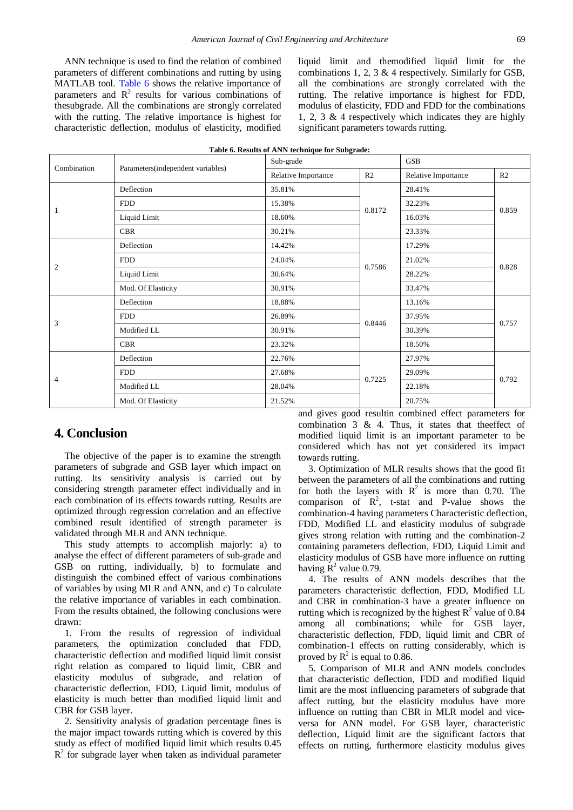ANN technique is used to find the relation of combined parameters of different combinations and rutting by using MATLAB tool. [Table 6](#page-5-0) shows the relative importance of parameters and  $\mathbb{R}^2$  results for various combinations of thesubgrade. All the combinations are strongly correlated with the rutting. The relative importance is highest for characteristic deflection, modulus of elasticity, modified

liquid limit and themodified liquid limit for the combinations 1, 2, 3 & 4 respectively. Similarly for GSB, all the combinations are strongly correlated with the rutting. The relative importance is highest for FDD, modulus of elasticity, FDD and FDD for the combinations 1, 2, 3 & 4 respectively which indicates they are highly significant parameters towards rutting.

<span id="page-5-0"></span>

| Combination    | Parameters(independent variables) | Sub-grade           |                |                     | <b>GSB</b>     |  |
|----------------|-----------------------------------|---------------------|----------------|---------------------|----------------|--|
|                |                                   | Relative Importance | R <sub>2</sub> | Relative Importance | R <sub>2</sub> |  |
|                | Deflection                        | 35.81%              |                | 28.41%              |                |  |
|                | <b>FDD</b>                        | 15.38%              | 0.8172         | 32.23%              | 0.859          |  |
| 1              | Liquid Limit                      | 18.60%              |                | 16.03%              |                |  |
|                | <b>CBR</b>                        | 30.21%              |                | 23.33%              |                |  |
|                | Deflection                        | 14.42%              |                | 17.29%              |                |  |
| $\overline{2}$ | <b>FDD</b>                        | 24.04%              | 0.7586         | 21.02%              | 0.828          |  |
|                | Liquid Limit                      | 30.64%              |                | 28.22%              |                |  |
|                | Mod. Of Elasticity                | 30.91%              |                | 33.47%              |                |  |
|                | Deflection                        | 18.88%              |                | 13.16%              |                |  |
|                | <b>FDD</b>                        | 26.89%              | 0.8446         | 37.95%              | 0.757          |  |
| 3              | Modified LL                       | 30.91%              |                | 30.39%              |                |  |
|                | <b>CBR</b>                        | 23.32%              |                | 18.50%              |                |  |
| 4              | Deflection                        | 22.76%              |                | 27.97%              |                |  |
|                | <b>FDD</b>                        | 27.68%              | 0.7225         | 29.09%              |                |  |
|                | Modified LL                       | 28.04%              |                | 22.18%              | 0.792          |  |
|                | Mod. Of Elasticity                | 21.52%              |                | 20.75%              |                |  |

#### **Table 6. Results of ANN technique for Subgrade:**

## **4. Conclusion**

The objective of the paper is to examine the strength parameters of subgrade and GSB layer which impact on rutting. Its sensitivity analysis is carried out by considering strength parameter effect individually and in each combination of its effects towards rutting. Results are optimized through regression correlation and an effective combined result identified of strength parameter is validated through MLR and ANN technique.

This study attempts to accomplish majorly: a) to analyse the effect of different parameters of sub-grade and GSB on rutting, individually, b) to formulate and distinguish the combined effect of various combinations of variables by using MLR and ANN, and c) To calculate the relative importance of variables in each combination. From the results obtained, the following conclusions were drawn:

1. From the results of regression of individual parameters, the optimization concluded that FDD, characteristic deflection and modified liquid limit consist right relation as compared to liquid limit, CBR and elasticity modulus of subgrade, and relation of characteristic deflection, FDD, Liquid limit, modulus of elasticity is much better than modified liquid limit and CBR for GSB layer.

2. Sensitivity analysis of gradation percentage fines is the major impact towards rutting which is covered by this study as effect of modified liquid limit which results 0.45  $R<sup>2</sup>$  for subgrade layer when taken as individual parameter

and gives good resultin combined effect parameters for combination  $3 \& 4$ . Thus, it states that theeffect of modified liquid limit is an important parameter to be considered which has not yet considered its impact towards rutting.

3. Optimization of MLR results shows that the good fit between the parameters of all the combinations and rutting for both the layers with  $R^2$  is more than 0.70. The comparison of  $\mathbb{R}^2$ , t-stat and P-value shows the combination-4 having parameters Characteristic deflection, FDD, Modified LL and elasticity modulus of subgrade gives strong relation with rutting and the combination-2 containing parameters deflection, FDD, Liquid Limit and elasticity modulus of GSB have more influence on rutting having  $R^2$  value 0.79.

4. The results of ANN models describes that the parameters characteristic deflection, FDD, Modified LL and CBR in combination-3 have a greater influence on rutting which is recognized by the highest  $\mathbb{R}^2$  value of 0.84 among all combinations; while for GSB layer, characteristic deflection, FDD, liquid limit and CBR of combination-1 effects on rutting considerably, which is proved by  $\mathbb{R}^2$  is equal to 0.86.

5. Comparison of MLR and ANN models concludes that characteristic deflection, FDD and modified liquid limit are the most influencing parameters of subgrade that affect rutting, but the elasticity modulus have more influence on rutting than CBR in MLR model and viceversa for ANN model. For GSB layer, characteristic deflection, Liquid limit are the significant factors that effects on rutting, furthermore elasticity modulus gives